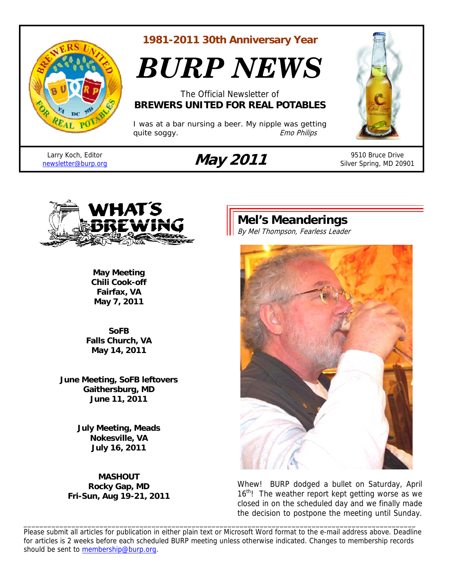

**1981-2011 30th Anniversary Year** 

*BURP NEWS*

The Official Newsletter of **BREWERS UNITED FOR REAL POTABLES**

*I was at a bar nursing a beer. My nipple was getting quite soggy.* The same of the same of the same of the same of the same of the same of the same of the same of the same of the same of the same of the same of the same of the same of the same of the same of the same of the

Larry Koch, Editor

# Larry Koch, Editor **May 2011** 9510 Bruce Drive<br> **May 2011** 9510 Bruce Drive 9510 Bruce Drive

Silver Spring, MD 20901



**May Meeting Chili Cook-off Fairfax, VA May 7, 2011** 

**SoFB Falls Church, VA May 14, 2011** 

**June Meeting, SoFB leftovers Gaithersburg, MD June 11, 2011** 

> **July Meeting, Meads Nokesville, VA July 16, 2011**

**MASHOUT Rocky Gap, MD Fri-Sun, Aug 19-21, 2011** 

# **Mel's Meanderings**

By Mel Thompson, Fearless Leader



Whew! BURP dodged a bullet on Saturday, April  $16<sup>th</sup>$ ! The weather report kept getting worse as we closed in on the scheduled day and we finally made the decision to postpone the meeting until Sunday.

Please submit all articles for publication in either plain text or Microsoft Word format to the e-mail address above. Deadline for articles is 2 weeks before each scheduled BURP meeting unless otherwise indicated. Changes to membership records should be sent to membership@burp.org.

\_\_\_\_\_\_\_\_\_\_\_\_\_\_\_\_\_\_\_\_\_\_\_\_\_\_\_\_\_\_\_\_\_\_\_\_\_\_\_\_\_\_\_\_\_\_\_\_\_\_\_\_\_\_\_\_\_\_\_\_\_\_\_\_\_\_\_\_\_\_\_\_\_\_\_\_\_\_\_\_\_\_\_\_\_\_\_\_\_\_\_\_\_\_\_\_\_\_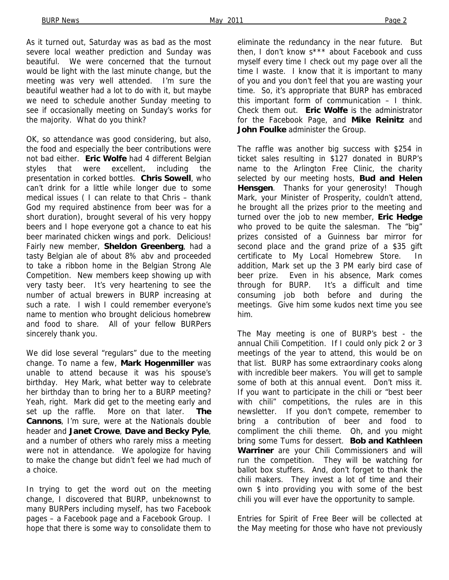As it turned out, Saturday was as bad as the most severe local weather prediction and Sunday was beautiful. We were concerned that the turnout would be light with the last minute change, but the meeting was very well attended. I'm sure the beautiful weather had a lot to do with it, but maybe we need to schedule another Sunday meeting to see if occasionally meeting on Sunday's works for the majority. What do you think?

OK, so attendance was good considering, but also, the food and especially the beer contributions were not bad either. **Eric Wolfe** had 4 different Belgian styles that were excellent, including the presentation in corked bottles. **Chris Sowell**, who can't drink for a little while longer due to some medical issues ( I can relate to that Chris – thank God my required abstinence from beer was for a short duration), brought several of his very hoppy beers and I hope everyone got a chance to eat his beer marinated chicken wings and pork. Delicious! Fairly new member, **Sheldon Greenberg**, had a tasty Belgian ale of about 8% abv and proceeded to take a ribbon home in the Belgian Strong Ale Competition. New members keep showing up with very tasty beer. It's very heartening to see the number of actual brewers in BURP increasing at such a rate. I wish I could remember everyone's name to mention who brought delicious homebrew and food to share. All of your fellow BURPers sincerely thank you.

We did lose several "regulars" due to the meeting change. To name a few, **Mark Hogenmiller** was unable to attend because it was his spouse's birthday. Hey Mark, what better way to celebrate her birthday than to bring her to a BURP meeting? Yeah, right. Mark did get to the meeting early and set up the raffle. More on that later. **The Cannons**, I'm sure, were at the Nationals double header and **Janet Crowe**, **Dave and Becky Pyle**, and a number of others who rarely miss a meeting were not in attendance. We apologize for having to make the change but didn't feel we had much of a choice.

In trying to get the word out on the meeting change, I discovered that BURP, unbeknownst to many BURPers including myself, has two Facebook pages – a Facebook page and a Facebook Group. I hope that there is some way to consolidate them to

eliminate the redundancy in the near future. But then, I don't know s\*\*\* about Facebook and cuss myself every time I check out my page over all the time I waste. I know that it is important to many of you and you don't feel that you are wasting your time. So, it's appropriate that BURP has embraced this important form of communication – I think. Check them out. **Eric Wolfe** is the administrator for the Facebook Page, and **Mike Reinitz** and **John Foulke** administer the Group.

The raffle was another big success with \$254 in ticket sales resulting in \$127 donated in BURP's name to the Arlington Free Clinic, the charity selected by our meeting hosts, **Bud and Helen Hensgen**. Thanks for your generosity! Though Mark, your Minister of Prosperity, couldn't attend, he brought all the prizes prior to the meeting and turned over the job to new member, **Eric Hedge** who proved to be quite the salesman. The "big" prizes consisted of a Guinness bar mirror for second place and the grand prize of a \$35 gift certificate to My Local Homebrew Store. In addition, Mark set up the 3 PM early bird case of beer prize. Even in his absence, Mark comes through for BURP. It's a difficult and time consuming job both before and during the meetings. Give him some kudos next time you see him.

The May meeting is one of BURP's best - the annual Chili Competition. If I could only pick 2 or 3 meetings of the year to attend, this would be on that list. BURP has some extraordinary cooks along with incredible beer makers. You will get to sample some of both at this annual event. Don't miss it. If you want to participate in the chili or "best beer with chili" competitions, the rules are in this newsletter. If you don't compete, remember to bring a contribution of beer and food to compliment the chili theme. Oh, and you might bring some Tums for dessert. **Bob and Kathleen Warriner** are your Chili Commissioners and will run the competition. They will be watching for ballot box stuffers. And, don't forget to thank the chili makers. They invest a lot of time and their own \$ into providing you with some of the best chili you will ever have the opportunity to sample.

Entries for Spirit of Free Beer will be collected at the May meeting for those who have not previously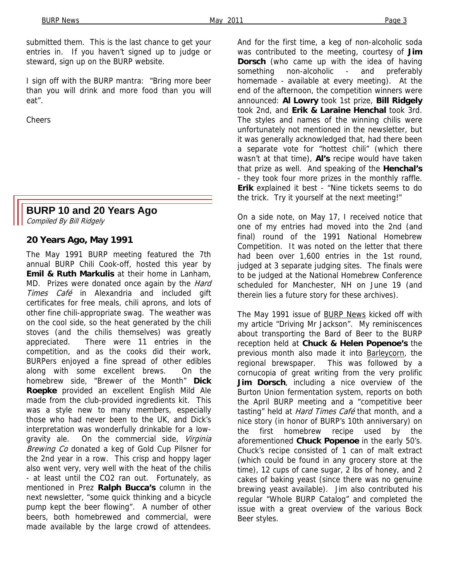submitted them. This is the last chance to get your entries in. If you haven't signed up to judge or steward, sign up on the BURP website.

I sign off with the BURP mantra: "Bring more beer than you will drink and more food than you will eat".

Cheers

# **BURP 10 and 20 Years Ago**

Compiled By Bill Ridgely

#### **20 Years Ago, May 1991**

The May 1991 BURP meeting featured the 7th annual BURP Chili Cook-off, hosted this year by **Emil & Ruth Markulis** at their home in Lanham, MD. Prizes were donated once again by the *Hard* Times Café in Alexandria and included gift certificates for free meals, chili aprons, and lots of other fine chili-appropriate swag. The weather was on the cool side, so the heat generated by the chili stoves (and the chilis themselves) was greatly appreciated. There were 11 entries in the competition, and as the cooks did their work, BURPers enjoyed a fine spread of other edibles along with some excellent brews. On the homebrew side, "Brewer of the Month" **Dick Roepke** provided an excellent English Mild Ale made from the club-provided ingredients kit. This was a style new to many members, especially those who had never been to the UK, and Dick's interpretation was wonderfully drinkable for a lowgravity ale. On the commercial side, Virginia Brewing Co donated a keg of Gold Cup Pilsner for the 2nd year in a row. This crisp and hoppy lager also went very, very well with the heat of the chilis - at least until the CO2 ran out. Fortunately, as mentioned in Prez **Ralph Bucca's** column in the next newsletter, "some quick thinking and a bicycle pump kept the beer flowing". A number of other beers, both homebrewed and commercial, were made available by the large crowd of attendees.

And for the first time, a keg of non-alcoholic soda was contributed to the meeting, courtesy of **Jim Dorsch** (who came up with the idea of having something non-alcoholic - and preferably homemade - available at every meeting). At the end of the afternoon, the competition winners were announced: **Al Lowry** took 1st prize, **Bill Ridgely**  took 2nd, and **Erik & Laraine Henchal** took 3rd. The styles and names of the winning chilis were unfortunately not mentioned in the newsletter, but it was generally acknowledged that, had there been a separate vote for "hottest chili" (which there wasn't at that time), **Al's** recipe would have taken that prize as well. And speaking of the **Henchal's**  - they took four more prizes in the monthly raffle. **Erik** explained it best - "Nine tickets seems to do the trick. Try it yourself at the next meeting!"

On a side note, on May 17, I received notice that one of my entries had moved into the 2nd (and final) round of the 1991 National Homebrew Competition. It was noted on the letter that there had been over 1,600 entries in the 1st round, judged at 3 separate judging sites. The finals were to be judged at the National Homebrew Conference scheduled for Manchester, NH on June 19 (and therein lies a future story for these archives).

The May 1991 issue of BURP News kicked off with my article "Driving Mr Jackson". My reminiscences about transporting the Bard of Beer to the BURP reception held at **Chuck & Helen Popenoe's** the previous month also made it into **Barleycorn**, the regional brewspaper. This was followed by a cornucopia of great writing from the very prolific **Jim Dorsch**, including a nice overview of the Burton Union fermentation system, reports on both the April BURP meeting and a "competitive beer tasting" held at *Hard Times Café* that month, and a nice story (in honor of BURP's 10th anniversary) on the first homebrew recipe used by the aforementioned **Chuck Popenoe** in the early 50's. Chuck's recipe consisted of 1 can of malt extract (which could be found in any grocery store at the time), 12 cups of cane sugar, 2 lbs of honey, and 2 cakes of baking yeast (since there was no genuine brewing yeast available). Jim also contributed his regular "Whole BURP Catalog" and completed the issue with a great overview of the various Bock Beer styles.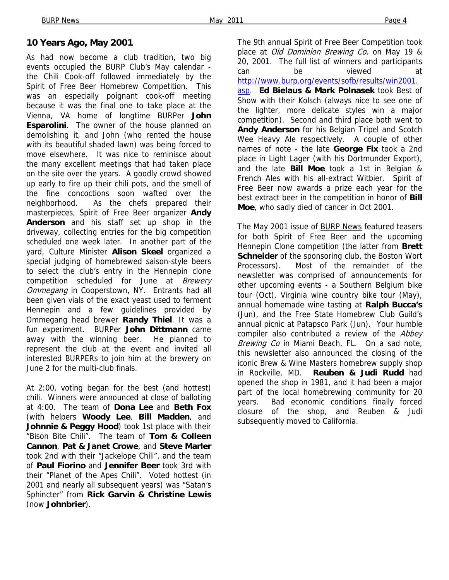#### **10 Years Ago, May 2001**

As had now become a club tradition, two big events occupied the BURP Club's May calendar the Chili Cook-off followed immediately by the Spirit of Free Beer Homebrew Competition. This was an especially poignant cook-off meeting because it was the final one to take place at the Vienna, VA home of longtime BURPer **John Esparolini**. The owner of the house planned on demolishing it, and John (who rented the house with its beautiful shaded lawn) was being forced to move elsewhere. It was nice to reminisce about the many excellent meetings that had taken place on the site over the years. A goodly crowd showed up early to fire up their chili pots, and the smell of the fine concoctions soon wafted over the neighborhood. As the chefs prepared their masterpieces, Spirit of Free Beer organizer **Andy Anderson** and his staff set up shop in the driveway, collecting entries for the big competition scheduled one week later. In another part of the yard, Culture Minister **Alison Skeel** organized a special judging of homebrewed saison-style beers to select the club's entry in the Hennepin clone competition scheduled for June at Brewery Ommegang in Cooperstown, NY. Entrants had all been given vials of the exact yeast used to ferment Hennepin and a few guidelines provided by Ommegang head brewer **Randy Thiel**. It was a fun experiment. BURPer **John Dittmann** came away with the winning beer. He planned to represent the club at the event and invited all interested BURPERs to join him at the brewery on June 2 for the multi-club finals.

At 2:00, voting began for the best (and hottest) chili. Winners were announced at close of balloting at 4:00. The team of **Dona Lee** and **Beth Fox**  (with helpers **Woody Lee**, **Bill Madden**, and **Johnnie & Peggy Hood**) took 1st place with their "Bison Bite Chili". The team of **Tom & Colleen Cannon**, **Pat & Janet Crowe**, and **Steve Marler**  took 2nd with their "Jackelope Chili", and the team of **Paul Fiorino** and **Jennifer Beer** took 3rd with their "Planet of the Apes Chili". Voted hottest (in 2001 and nearly all subsequent years) was "Satan's Sphincter" from **Rick Garvin & Christine Lewis**  (now **Johnbrier**).

The 9th annual Spirit of Free Beer Competition took place at *Old Dominion Brewing Co.* on May 19 & 20, 2001. The full list of winners and participants can be viewed at http://www.burp.org/events/sofb/results/win2001. asp. **Ed Bielaus & Mark Polnasek** took Best of Show with their Kolsch (always nice to see one of the lighter, more delicate styles win a major competition). Second and third place both went to **Andy Anderson** for his Belgian Tripel and Scotch Wee Heavy Ale respectively. A couple of other names of note - the late **George Fix** took a 2nd place in Light Lager (with his Dortmunder Export), and the late **Bill Moe** took a 1st in Belgian & French Ales with his all-extract Witbier. Spirit of Free Beer now awards a prize each year for the best extract beer in the competition in honor of **Bill Moe**, who sadly died of cancer in Oct 2001.

The May 2001 issue of BURP News featured teasers for both Spirit of Free Beer and the upcoming Hennepin Clone competition (the latter from **Brett Schneider** of the sponsoring club, the Boston Wort Processors). Most of the remainder of the newsletter was comprised of announcements for other upcoming events - a Southern Belgium bike tour (Oct), Virginia wine country bike tour (May), annual homemade wine tasting at **Ralph Bucca's**  (Jun), and the Free State Homebrew Club Guild's annual picnic at Patapsco Park (Jun). Your humble compiler also contributed a review of the Abbey Brewing Co in Miami Beach, FL. On a sad note, this newsletter also announced the closing of the iconic Brew & Wine Masters homebrew supply shop in Rockville, MD. **Reuben & Judi Rudd** had opened the shop in 1981, and it had been a major part of the local homebrewing community for 20 years. Bad economic conditions finally forced closure of the shop, and Reuben & Judi subsequently moved to California.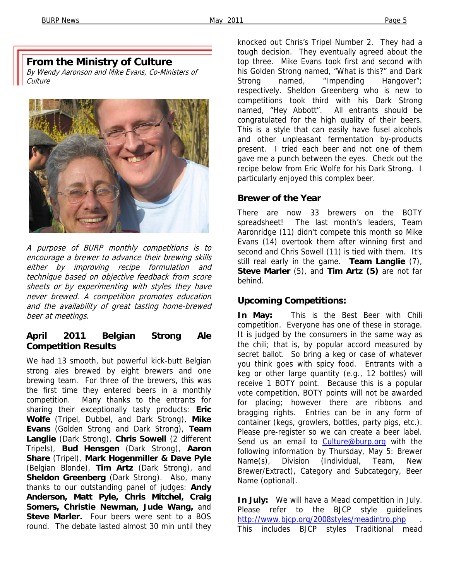# **From the Ministry of Culture**

By Wendy Aaronson and Mike Evans, Co-Ministers of **Culture** 



A purpose of BURP monthly competitions is to encourage a brewer to advance their brewing skills either by improving recipe formulation and technique based on objective feedback from score sheets or by experimenting with styles they have never brewed. A competition promotes education and the availability of great tasting home-brewed beer at meetings.

### **April 2011 Belgian Strong Ale Competition Results**

We had 13 smooth, but powerful kick-butt Belgian strong ales brewed by eight brewers and one brewing team. For three of the brewers, this was the first time they entered beers in a monthly competition. Many thanks to the entrants for sharing their exceptionally tasty products: **Eric Wolfe** (Tripel, Dubbel, and Dark Strong), **Mike Evans** (Golden Strong and Dark Strong), **Team Langlie** (Dark Strong), **Chris Sowell** (2 different Tripels), **Bud Hensgen** (Dark Strong), **Aaron Share** (Tripel), **Mark Hogenmiller & Dave Pyle** (Belgian Blonde), **Tim Artz** (Dark Strong), and **Sheldon Greenberg** (Dark Strong). Also, many thanks to our outstanding panel of judges: **Andy Anderson, Matt Pyle, Chris Mitchel, Craig Somers, Christie Newman, Jude Wang,** and **Steve Marler.** Four beers were sent to a BOS round. The debate lasted almost 30 min until they

knocked out Chris's Tripel Number 2. They had a tough decision. They eventually agreed about the top three. Mike Evans took first and second with his Golden Strong named, "What is this?" and Dark Strong named, "Impending Hangover"; respectively. Sheldon Greenberg who is new to competitions took third with his Dark Strong named, "Hey Abbott". All entrants should be congratulated for the high quality of their beers. This is a style that can easily have fusel alcohols and other unpleasant fermentation by-products present. I tried each beer and not one of them gave me a punch between the eyes. Check out the recipe below from Eric Wolfe for his Dark Strong. I particularly enjoyed this complex beer.

#### **Brewer of the Year**

There are now 33 brewers on the BOTY spreadsheet! The last month's leaders, Team Aaronridge (11) didn't compete this month so Mike Evans (14) overtook them after winning first and second and Chris Sowell (11) is tied with them. It's still real early in the game. **Team Langlie** (7), **Steve Marler** (5), and **Tim Artz (5)** are not far behind.

## **Upcoming Competitions:**

**In May:** This is the Best Beer with Chili competition. Everyone has one of these in storage. It is judged by the consumers in the same way as the chili; that is, by popular accord measured by secret ballot. So bring a keg or case of whatever you think goes with spicy food. Entrants with a keg or other large quantity (e.g., 12 bottles) will receive 1 BOTY point. Because this is a popular vote competition, BOTY points will not be awarded for placing; however there are ribbons and bragging rights. Entries can be in any form of container (kegs, growlers, bottles, party pigs, etc.). Please pre-register so we can create a beer label. Send us an email to Culture@burp.org with the following information by Thursday, May 5: Brewer Name(s), Division (Individual, Team, New Brewer/Extract), Category and Subcategory, Beer Name (optional).

**In July:** We will have a Mead competition in July. Please refer to the BJCP style guidelines http://www.bjcp.org/2008styles/meadintro.php . This includes BJCP styles Traditional mead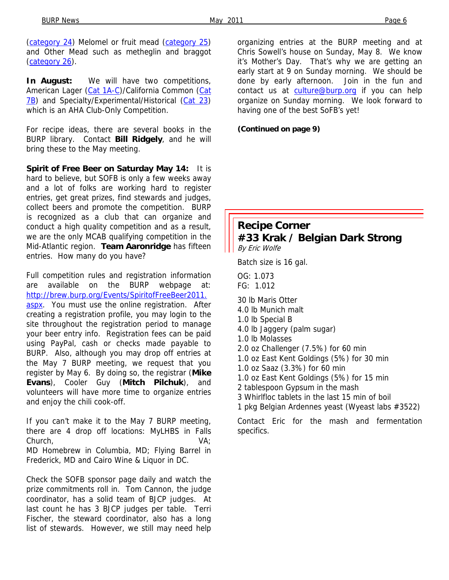(category 24) Melomel or fruit mead (category 25) and Other Mead such as metheglin and braggot (category 26).

**In August:** We will have two competitions, American Lager (Cat 1A-C)/California Common (Cat 7B) and Specialty/Experimental/Historical (Cat 23) which is an AHA Club-Only Competition.

For recipe ideas, there are several books in the BURP library. Contact **Bill Ridgely**, and he will bring these to the May meeting.

**Spirit of Free Beer on Saturday May 14:** It is hard to believe, but SOFB is only a few weeks away and a lot of folks are working hard to register entries, get great prizes, find stewards and judges, collect beers and promote the competition. BURP is recognized as a club that can organize and conduct a high quality competition and as a result, we are the only MCAB qualifying competition in the Mid-Atlantic region. **Team Aaronridge** has fifteen entries. How many do you have?

Full competition rules and registration information are available on the BURP webpage at: http://brew.burp.org/Events/SpiritofFreeBeer2011. aspx. You must use the online registration. After creating a registration profile, you may login to the site throughout the registration period to manage your beer entry info. Registration fees can be paid using PayPal, cash or checks made payable to BURP. Also, although you may drop off entries at the May 7 BURP meeting, we request that you register by May 6. By doing so, the registrar (**Mike Evans**), Cooler Guy (**Mitch Pilchuk**), and volunteers will have more time to organize entries and enjoy the chili cook-off.

If you can't make it to the May 7 BURP meeting, there are 4 drop off locations: MyLHBS in Falls Church, VA; MD Homebrew in Columbia, MD; Flying Barrel in Frederick, MD and Cairo Wine & Liquor in DC.

Check the SOFB sponsor page daily and watch the prize commitments roll in. Tom Cannon, the judge coordinator, has a solid team of BJCP judges. At last count he has 3 BJCP judges per table. Terri Fischer, the steward coordinator, also has a long list of stewards. However, we still may need help

organizing entries at the BURP meeting and at Chris Sowell's house on Sunday, May 8. We know it's Mother's Day. That's why we are getting an early start at 9 on Sunday morning. We should be done by early afternoon. Join in the fun and contact us at culture@burp.org if you can help organize on Sunday morning. We look forward to having one of the best SoFB's yet!

**(Continued on page 9)** 

## **Recipe Corner #33 Krak / Belgian Dark Strong**  By Eric Wolfe

Batch size is 16 gal.

OG: 1.073 FG: 1.012 30 lb Maris Otter 4.0 lb Munich malt 1.0 lb Special B 4.0 lb Jaggery (palm sugar) 1.0 lb Molasses 2.0 oz Challenger (7.5%) for 60 min 1.0 oz East Kent Goldings (5%) for 30 min 1.0 oz Saaz (3.3%) for 60 min 1.0 oz East Kent Goldings (5%) for 15 min 2 tablespoon Gypsum in the mash 3 Whirlfloc tablets in the last 15 min of boil 1 pkg Belgian Ardennes yeast (Wyeast labs #3522)

Contact Eric for the mash and fermentation specifics.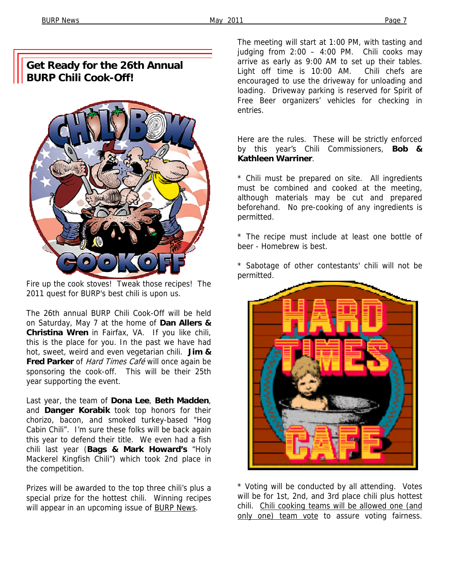# **Get Ready for the 26th Annual BURP Chili Cook-Off!**



Fire up the cook stoves! Tweak those recipes! The 2011 quest for BURP's best chili is upon us.

The 26th annual BURP Chili Cook-Off will be held on Saturday, May 7 at the home of **Dan Allers & Christina Wren** in Fairfax, VA. If you like chili, this is the place for you. In the past we have had hot, sweet, weird and even vegetarian chili. **Jim & Fred Parker** of Hard Times Café will once again be sponsoring the cook-off. This will be their 25th year supporting the event.

Last year, the team of **Dona Lee**, **Beth Madden**, and **Danger Korabik** took top honors for their chorizo, bacon, and smoked turkey-based "Hog Cabin Chili". I'm sure these folks will be back again this year to defend their title. We even had a fish chili last year (**Bags & Mark Howard's** "Holy Mackerel Kingfish Chili") which took 2nd place in the competition.

Prizes will be awarded to the top three chili's plus a special prize for the hottest chili. Winning recipes will appear in an upcoming issue of **BURP** News.

The meeting will start at 1:00 PM, with tasting and judging from 2:00 – 4:00 PM. Chili cooks may arrive as early as 9:00 AM to set up their tables. Light off time is 10:00 AM. Chili chefs are encouraged to use the driveway for unloading and loading. Driveway parking is reserved for Spirit of Free Beer organizers' vehicles for checking in entries.

Here are the rules. These will be strictly enforced by this year's Chili Commissioners, **Bob & Kathleen Warriner**.

\* Chili must be prepared on site. All ingredients must be combined and cooked at the meeting, although materials may be cut and prepared beforehand. No pre-cooking of any ingredients is permitted.

\* The recipe must include at least one bottle of beer - Homebrew is best.

\* Sabotage of other contestants' chili will not be permitted.



\* Voting will be conducted by all attending. Votes will be for 1st, 2nd, and 3rd place chili plus hottest chili. Chili cooking teams will be allowed one (and only one) team vote to assure voting fairness.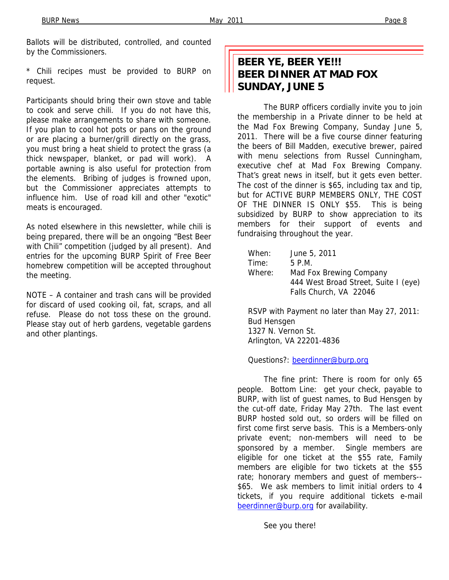Ballots will be distributed, controlled, and counted by the Commissioners.

\* Chili recipes must be provided to BURP on request.

Participants should bring their own stove and table to cook and serve chili. If you do not have this, please make arrangements to share with someone. If you plan to cool hot pots or pans on the ground or are placing a burner/grill directly on the grass, you must bring a heat shield to protect the grass (a thick newspaper, blanket, or pad will work). A portable awning is also useful for protection from the elements. Bribing of judges is frowned upon, but the Commissioner appreciates attempts to influence him. Use of road kill and other "exotic" meats is encouraged.

As noted elsewhere in this newsletter, while chili is being prepared, there will be an ongoing "Best Beer with Chili" competition (judged by all present). And entries for the upcoming BURP Spirit of Free Beer homebrew competition will be accepted throughout the meeting.

NOTE – A container and trash cans will be provided for discard of used cooking oil, fat, scraps, and all refuse. Please do not toss these on the ground. Please stay out of herb gardens, vegetable gardens and other plantings.

# **BEER YE, BEER YE!!! BEER DINNER AT MAD FOX SUNDAY, JUNE 5**

The BURP officers cordially invite you to join the membership in a Private dinner to be held at the Mad Fox Brewing Company, Sunday June 5, 2011. There will be a five course dinner featuring the beers of Bill Madden, executive brewer, paired with menu selections from Russel Cunningham, executive chef at Mad Fox Brewing Company. That's great news in itself, but it gets even better. The cost of the dinner is \$65, including tax and tip, but for ACTIVE BURP MEMBERS ONLY, THE COST OF THE DINNER IS ONLY \$55. This is being subsidized by BURP to show appreciation to its members for their support of events and fundraising throughout the year.

| When:  | June 5, 2011                         |
|--------|--------------------------------------|
| Time:  | 5 P.M.                               |
| Where: | Mad Fox Brewing Company              |
|        | 444 West Broad Street, Suite I (eye) |
|        | Falls Church, VA 22046               |
|        |                                      |

RSVP with Payment no later than May 27, 2011: Bud Hensgen 1327 N. Vernon St. Arlington, VA 22201-4836

Questions?: beerdinner@burp.org

The fine print: There is room for only 65 people. Bottom Line: get your check, payable to BURP, with list of guest names, to Bud Hensgen by the cut-off date, Friday May 27th. The last event BURP hosted sold out, so orders will be filled on first come first serve basis. This is a Members-only private event; non-members will need to be sponsored by a member. Single members are eligible for one ticket at the \$55 rate, Family members are eligible for two tickets at the \$55 rate; honorary members and guest of members-- \$65. We ask members to limit initial orders to 4 tickets, if you require additional tickets e-mail beerdinner@burp.org for availability.

See you there!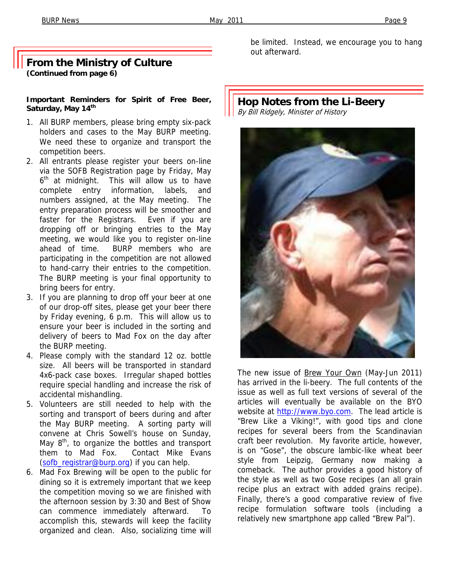#### **From the Ministry of Culture (Continued from page 6)**

#### **Important Reminders for Spirit of Free Beer,**  Saturday, May 14<sup>th</sup>

- 1. All BURP members, please bring empty six-pack holders and cases to the May BURP meeting. We need these to organize and transport the competition beers.
- 2. All entrants please register your beers on-line via the SOFB Registration page by Friday, May  $6<sup>th</sup>$  at midnight. This will allow us to have complete entry information, labels, and numbers assigned, at the May meeting. The entry preparation process will be smoother and faster for the Registrars. Even if you are dropping off or bringing entries to the May meeting, we would like you to register on-line ahead of time. BURP members who are participating in the competition are not allowed to hand-carry their entries to the competition. The BURP meeting is your final opportunity to bring beers for entry.
- 3. If you are planning to drop off your beer at one of our drop-off sites, please get your beer there by Friday evening, 6 p.m. This will allow us to ensure your beer is included in the sorting and delivery of beers to Mad Fox on the day after the BURP meeting.
- 4. Please comply with the standard 12 oz. bottle size. All beers will be transported in standard 4x6-pack case boxes. Irregular shaped bottles require special handling and increase the risk of accidental mishandling.
- 5. Volunteers are still needed to help with the sorting and transport of beers during and after the May BURP meeting. A sorting party will convene at Chris Sowell's house on Sunday, May  $8<sup>th</sup>$ , to organize the bottles and transport them to Mad Fox. Contact Mike Evans (sofb\_registrar@burp.org) if you can help.
- 6. Mad Fox Brewing will be open to the public for dining so it is extremely important that we keep the competition moving so we are finished with the afternoon session by 3:30 and Best of Show can commence immediately afterward. To accomplish this, stewards will keep the facility organized and clean. Also, socializing time will

be limited. Instead, we encourage you to hang out afterward.

## **Hop Notes from the Li-Beery**  By Bill Ridgely, Minister of History



The new issue of Brew Your Own (May-Jun 2011) has arrived in the li-beery. The full contents of the issue as well as full text versions of several of the articles will eventually be available on the BYO website at http://www.byo.com. The lead article is "Brew Like a Viking!", with good tips and clone recipes for several beers from the Scandinavian craft beer revolution. My favorite article, however, is on "Gose", the obscure lambic-like wheat beer style from Leipzig, Germany now making a comeback. The author provides a good history of the style as well as two Gose recipes (an all grain recipe plus an extract with added grains recipe). Finally, there's a good comparative review of five recipe formulation software tools (including a relatively new smartphone app called "Brew Pal").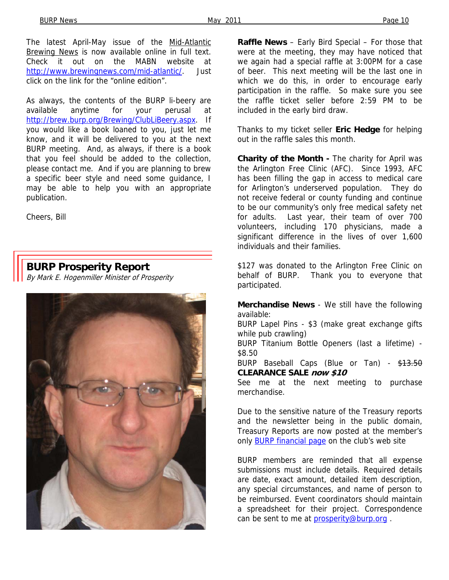The latest April-May issue of the Mid-Atlantic Brewing News is now available online in full text. Check it out on the MABN website at http://www.brewingnews.com/mid-atlantic/. Just click on the link for the "online edition".

As always, the contents of the BURP li-beery are available anytime for your perusal at http://brew.burp.org/Brewing/ClubLiBeery.aspx. If you would like a book loaned to you, just let me know, and it will be delivered to you at the next BURP meeting. And, as always, if there is a book that you feel should be added to the collection, please contact me. And if you are planning to brew a specific beer style and need some guidance, I may be able to help you with an appropriate publication.

Cheers, Bill

# **BURP Prosperity Report**

By Mark E. Hogenmiller Minister of Prosperity



**Raffle News** – Early Bird Special – For those that were at the meeting, they may have noticed that we again had a special raffle at 3:00PM for a case of beer. This next meeting will be the last one in which we do this, in order to encourage early participation in the raffle. So make sure you see the raffle ticket seller before 2:59 PM to be included in the early bird draw.

Thanks to my ticket seller **Eric Hedge** for helping out in the raffle sales this month.

**Charity of the Month -** The charity for April was the Arlington Free Clinic (AFC). Since 1993, AFC has been filling the gap in access to medical care for Arlington's underserved population. They do not receive federal or county funding and continue to be our community's only free medical safety net for adults. Last year, their team of over 700 volunteers, including 170 physicians, made a significant difference in the lives of over 1,600 individuals and their families.

\$127 was donated to the Arlington Free Clinic on behalf of BURP. Thank you to everyone that participated.

**Merchandise News** - We still have the following available:

BURP Lapel Pins - \$3 (make great exchange gifts while pub crawling)

BURP Titanium Bottle Openers (last a lifetime) - \$8.50

BURP Baseball Caps (Blue or Tan) - \$13.50 **CLEARANCE SALE now \$10**

See me at the next meeting to purchase merchandise.

Due to the sensitive nature of the Treasury reports and the newsletter being in the public domain, Treasury Reports are now posted at the member's only BURP financial page on the club's web site

BURP members are reminded that all expense submissions must include details. Required details are date, exact amount, detailed item description, any special circumstances, and name of person to be reimbursed. Event coordinators should maintain a spreadsheet for their project. Correspondence can be sent to me at prosperity@burp.org.